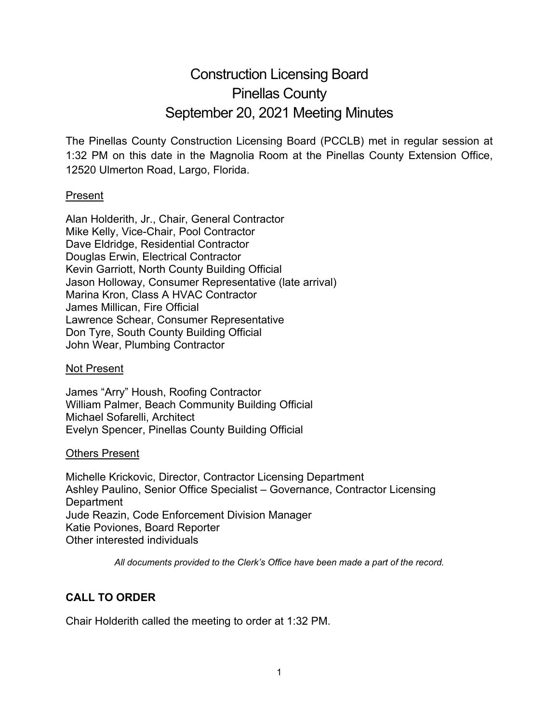# Construction Licensing Board Pinellas County September 20, 2021 Meeting Minutes

The Pinellas County Construction Licensing Board (PCCLB) met in regular session at 1:32 PM on this date in the Magnolia Room at the Pinellas County Extension Office, 12520 Ulmerton Road, Largo, Florida.

## Present

Alan Holderith, Jr., Chair, General Contractor Mike Kelly, Vice-Chair, Pool Contractor Dave Eldridge, Residential Contractor Douglas Erwin, Electrical Contractor Kevin Garriott, North County Building Official Jason Holloway, Consumer Representative (late arrival) Marina Kron, Class A HVAC Contractor James Millican, Fire Official Lawrence Schear, Consumer Representative Don Tyre, South County Building Official John Wear, Plumbing Contractor

## Not Present

James "Arry" Housh, Roofing Contractor William Palmer, Beach Community Building Official Michael Sofarelli, Architect Evelyn Spencer, Pinellas County Building Official

## Others Present

Michelle Krickovic, Director, Contractor Licensing Department Ashley Paulino, Senior Office Specialist – Governance, Contractor Licensing **Department** Jude Reazin, Code Enforcement Division Manager Katie Poviones, Board Reporter Other interested individuals

*All documents provided to the Clerk's Office have been made a part of the record.*

## **CALL TO ORDER**

Chair Holderith called the meeting to order at 1:32 PM.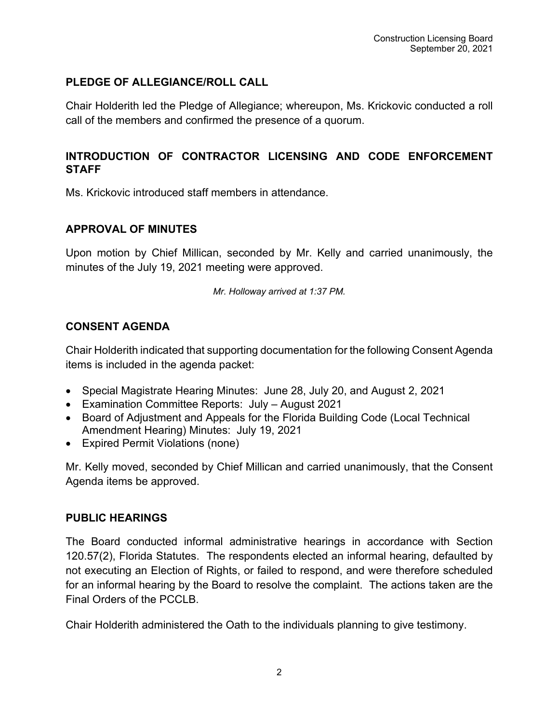## **PLEDGE OF ALLEGIANCE/ROLL CALL**

Chair Holderith led the Pledge of Allegiance; whereupon, Ms. Krickovic conducted a roll call of the members and confirmed the presence of a quorum.

## **INTRODUCTION OF CONTRACTOR LICENSING AND CODE ENFORCEMENT STAFF**

Ms. Krickovic introduced staff members in attendance.

## **APPROVAL OF MINUTES**

Upon motion by Chief Millican, seconded by Mr. Kelly and carried unanimously, the minutes of the July 19, 2021 meeting were approved.

*Mr. Holloway arrived at 1:37 PM.*

## **CONSENT AGENDA**

Chair Holderith indicated that supporting documentation for the following Consent Agenda items is included in the agenda packet:

- Special Magistrate Hearing Minutes: June 28, July 20, and August 2, 2021
- Examination Committee Reports: July August 2021
- Board of Adjustment and Appeals for the Florida Building Code (Local Technical Amendment Hearing) Minutes: July 19, 2021
- Expired Permit Violations (none)

Mr. Kelly moved, seconded by Chief Millican and carried unanimously, that the Consent Agenda items be approved.

## **PUBLIC HEARINGS**

The Board conducted informal administrative hearings in accordance with Section 120.57(2), Florida Statutes. The respondents elected an informal hearing, defaulted by not executing an Election of Rights, or failed to respond, and were therefore scheduled for an informal hearing by the Board to resolve the complaint. The actions taken are the Final Orders of the PCCLB.

Chair Holderith administered the Oath to the individuals planning to give testimony.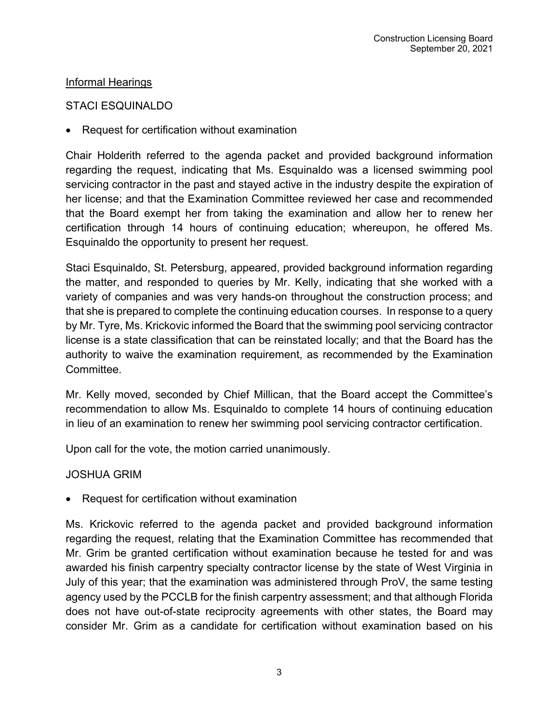## **Informal Hearings**

## STACI ESQUINALDO

• Request for certification without examination

Chair Holderith referred to the agenda packet and provided background information regarding the request, indicating that Ms. Esquinaldo was a licensed swimming pool servicing contractor in the past and stayed active in the industry despite the expiration of her license; and that the Examination Committee reviewed her case and recommended that the Board exempt her from taking the examination and allow her to renew her certification through 14 hours of continuing education; whereupon, he offered Ms. Esquinaldo the opportunity to present her request.

Staci Esquinaldo, St. Petersburg, appeared, provided background information regarding the matter, and responded to queries by Mr. Kelly, indicating that she worked with a variety of companies and was very hands-on throughout the construction process; and that she is prepared to complete the continuing education courses. In response to a query by Mr. Tyre, Ms. Krickovic informed the Board that the swimming pool servicing contractor license is a state classification that can be reinstated locally; and that the Board has the authority to waive the examination requirement, as recommended by the Examination Committee.

Mr. Kelly moved, seconded by Chief Millican, that the Board accept the Committee's recommendation to allow Ms. Esquinaldo to complete 14 hours of continuing education in lieu of an examination to renew her swimming pool servicing contractor certification.

Upon call for the vote, the motion carried unanimously.

## JOSHUA GRIM

• Request for certification without examination

Ms. Krickovic referred to the agenda packet and provided background information regarding the request, relating that the Examination Committee has recommended that Mr. Grim be granted certification without examination because he tested for and was awarded his finish carpentry specialty contractor license by the state of West Virginia in July of this year; that the examination was administered through ProV, the same testing agency used by the PCCLB for the finish carpentry assessment; and that although Florida does not have out-of-state reciprocity agreements with other states, the Board may consider Mr. Grim as a candidate for certification without examination based on his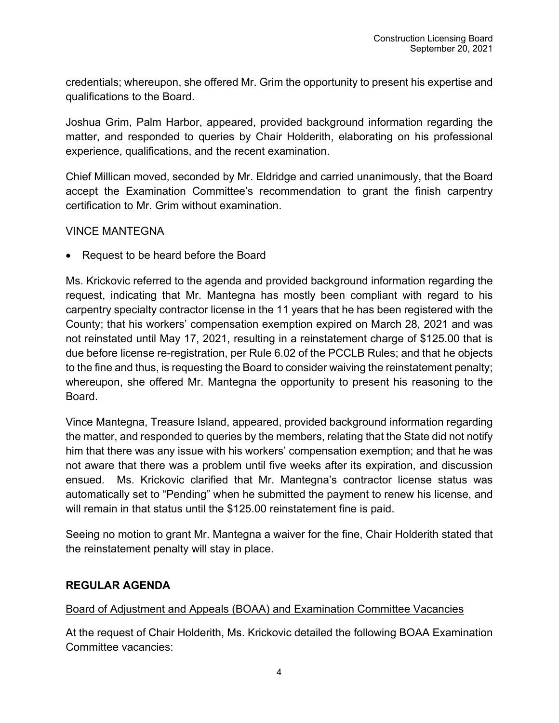credentials; whereupon, she offered Mr. Grim the opportunity to present his expertise and qualifications to the Board.

Joshua Grim, Palm Harbor, appeared, provided background information regarding the matter, and responded to queries by Chair Holderith, elaborating on his professional experience, qualifications, and the recent examination.

Chief Millican moved, seconded by Mr. Eldridge and carried unanimously, that the Board accept the Examination Committee's recommendation to grant the finish carpentry certification to Mr. Grim without examination.

#### VINCE MANTEGNA

• Request to be heard before the Board

Ms. Krickovic referred to the agenda and provided background information regarding the request, indicating that Mr. Mantegna has mostly been compliant with regard to his carpentry specialty contractor license in the 11 years that he has been registered with the County; that his workers' compensation exemption expired on March 28, 2021 and was not reinstated until May 17, 2021, resulting in a reinstatement charge of \$125.00 that is due before license re-registration, per Rule 6.02 of the PCCLB Rules; and that he objects to the fine and thus, is requesting the Board to consider waiving the reinstatement penalty; whereupon, she offered Mr. Mantegna the opportunity to present his reasoning to the Board.

Vince Mantegna, Treasure Island, appeared, provided background information regarding the matter, and responded to queries by the members, relating that the State did not notify him that there was any issue with his workers' compensation exemption; and that he was not aware that there was a problem until five weeks after its expiration, and discussion ensued. Ms. Krickovic clarified that Mr. Mantegna's contractor license status was automatically set to "Pending" when he submitted the payment to renew his license, and will remain in that status until the \$125.00 reinstatement fine is paid.

Seeing no motion to grant Mr. Mantegna a waiver for the fine, Chair Holderith stated that the reinstatement penalty will stay in place.

## **REGULAR AGENDA**

## Board of Adjustment and Appeals (BOAA) and Examination Committee Vacancies

At the request of Chair Holderith, Ms. Krickovic detailed the following BOAA Examination Committee vacancies: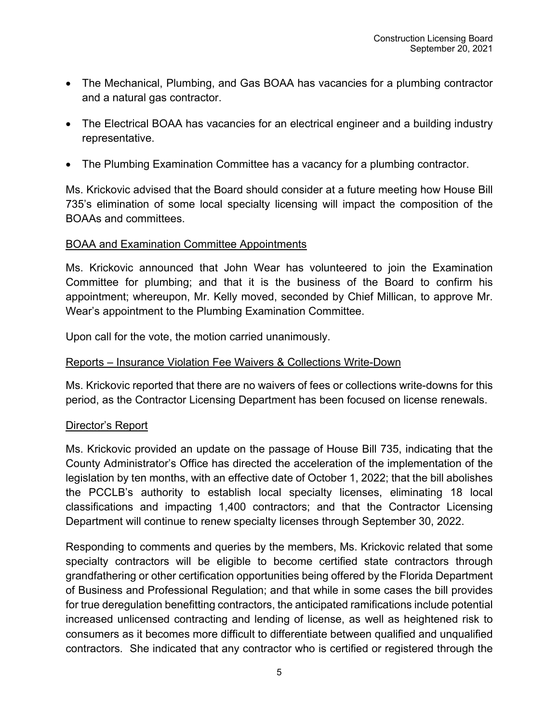- The Mechanical, Plumbing, and Gas BOAA has vacancies for a plumbing contractor and a natural gas contractor.
- The Electrical BOAA has vacancies for an electrical engineer and a building industry representative.
- The Plumbing Examination Committee has a vacancy for a plumbing contractor.

Ms. Krickovic advised that the Board should consider at a future meeting how House Bill 735's elimination of some local specialty licensing will impact the composition of the BOAAs and committees.

#### BOAA and Examination Committee Appointments

Ms. Krickovic announced that John Wear has volunteered to join the Examination Committee for plumbing; and that it is the business of the Board to confirm his appointment; whereupon, Mr. Kelly moved, seconded by Chief Millican, to approve Mr. Wear's appointment to the Plumbing Examination Committee.

Upon call for the vote, the motion carried unanimously.

#### Reports – Insurance Violation Fee Waivers & Collections Write-Down

Ms. Krickovic reported that there are no waivers of fees or collections write-downs for this period, as the Contractor Licensing Department has been focused on license renewals.

#### Director's Report

Ms. Krickovic provided an update on the passage of House Bill 735, indicating that the County Administrator's Office has directed the acceleration of the implementation of the legislation by ten months, with an effective date of October 1, 2022; that the bill abolishes the PCCLB's authority to establish local specialty licenses, eliminating 18 local classifications and impacting 1,400 contractors; and that the Contractor Licensing Department will continue to renew specialty licenses through September 30, 2022.

Responding to comments and queries by the members, Ms. Krickovic related that some specialty contractors will be eligible to become certified state contractors through grandfathering or other certification opportunities being offered by the Florida Department of Business and Professional Regulation; and that while in some cases the bill provides for true deregulation benefitting contractors, the anticipated ramifications include potential increased unlicensed contracting and lending of license, as well as heightened risk to consumers as it becomes more difficult to differentiate between qualified and unqualified contractors. She indicated that any contractor who is certified or registered through the